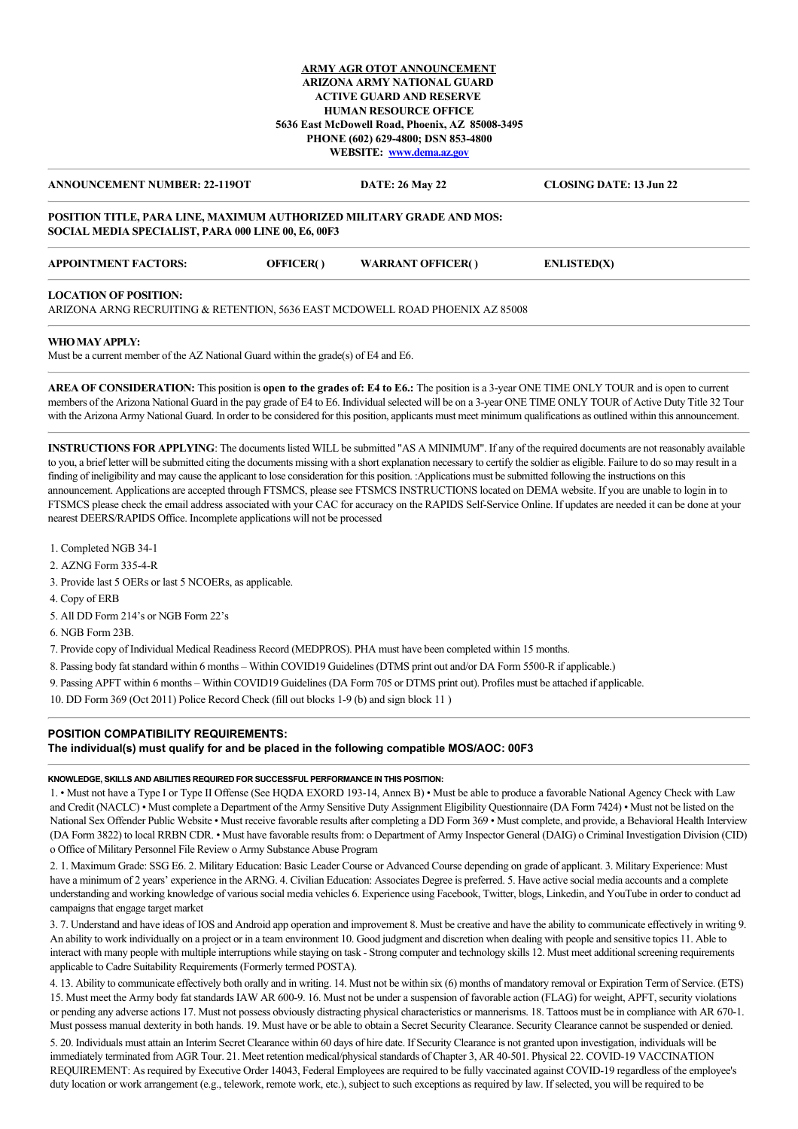## **ARMY AGR OTOT ANNOUNCEMENT ARIZONA ARMY NATIONAL GUARD ACTIVE GUARD AND RESERVE HUMAN RESOURCE OFFICE 5636 East McDowell Road, Phoenix, AZ 85008-3495 PHONE (602) 629-4800; DSN 853-4800 WEBSITE: [www.dema.az.gov](http://www.dema.az.gov/)**

## **ANNOUNCEMENT NUMBER: 22-119OT DATE: 26 May 22 CLOSING DATE: 13 Jun 22**

#### **POSITION TITLE, PARA LINE, MAXIMUM AUTHORIZED MILITARY GRADE AND MOS: SOCIAL MEDIA SPECIALIST, PARA 000 LINE 00, E6, 00F3**

| <b>APPOINTMENT FACTORS:</b><br><b>WARRANT OFFICER()</b><br><b>OFFICER()</b><br><b>ENLISTED(X)</b> |  |  |  |  |  |
|---------------------------------------------------------------------------------------------------|--|--|--|--|--|
|---------------------------------------------------------------------------------------------------|--|--|--|--|--|

#### **LOCATION OF POSITION:**

ARIZONA ARNG RECRUITING & RETENTION, 5636 EAST MCDOWELL ROAD PHOENIX AZ 85008

#### **WHO MAY APPLY:**

Must be a current member of the AZ National Guard within the grade(s) of E4 and E6.

**AREA OF CONSIDERATION:** This position is **open to the grades of: E4 to E6.:** The position is a 3-year ONE TIME ONLY TOUR and is open to current members of the Arizona National Guard in the pay grade of E4 to E6. Individual selected will be on a 3-year ONE TIME ONLY TOUR of Active Duty Title 32 Tour with the Arizona Army National Guard. In order to be considered for this position, applicants must meet minimum qualifications as outlined within this announcement.

**INSTRUCTIONS FOR APPLYING**: The documents listed WILL be submitted "AS A MINIMUM". If any of the required documents are not reasonably available to you, a brief letter will be submitted citing the documents missing with a short explanation necessary to certify the soldier as eligible. Failure to do so may result in a finding of ineligibility and may cause the applicant to lose consideration for this position. :Applications must be submitted following the instructions on this announcement. Applications are accepted through FTSMCS, please see FTSMCS INSTRUCTIONS located on DEMA website. If you are unable to login in to FTSMCS please check the email address associated with your CAC for accuracy on the RAPIDS Self-Service Online. If updates are needed it can be done at your nearest DEERS/RAPIDS Office. Incomplete applications will not be processed

1. Completed NGB 34-1

2. AZNG Form 335-4-R

3. Provide last 5 OERs or last 5 NCOERs, as applicable.

4. Copy of ERB

5. All DD Form 214's or NGB Form 22's

6. NGB Form 23B.

7. Provide copy of Individual Medical Readiness Record (MEDPROS). PHA must have been completed within 15 months.

8. Passing body fat standard within 6 months – Within COVID19 Guidelines (DTMS print out and/or DA Form 5500-R if applicable.)

9. Passing APFT within 6 months – Within COVID19 Guidelines (DA Form 705 or DTMS print out). Profiles must be attached if applicable.

10. DD Form 369 (Oct 2011) Police Record Check (fill out blocks 1-9 (b) and sign block 11 )

## **POSITION COMPATIBILITY REQUIREMENTS:**

**The individual(s) must qualify for and be placed in the following compatible MOS/AOC: 00F3**

#### **KNOWLEDGE, SKILLS AND ABILITIES REQUIRED FOR SUCCESSFUL PERFORMANCE IN THIS POSITION:**

1. • Must not have a Type I or Type II Offense (See HQDA EXORD 193-14, Annex B) • Must be able to produce a favorable National Agency Check with Law and Credit (NACLC) • Must complete a Department of the Army Sensitive Duty Assignment Eligibility Questionnaire (DA Form 7424) • Must not be listed on the National Sex Offender Public Website • Must receive favorable results after completing a DD Form 369 • Must complete, and provide, a Behavioral Health Interview (DA Form 3822) to local RRBN CDR. • Must have favorable results from: o Department of Army Inspector General (DAIG) o Criminal Investigation Division (CID) o Office of Military Personnel File Review o Army Substance Abuse Program

2. 1. Maximum Grade: SSG E6. 2. Military Education: Basic Leader Course or Advanced Course depending on grade of applicant. 3. Military Experience: Must have a minimum of 2 years' experience in the ARNG. 4. Civilian Education: Associates Degree is preferred. 5. Have active social media accounts and a complete understanding and working knowledge of various social media vehicles 6. Experience using Facebook, Twitter, blogs, Linkedin, and YouTube in order to conduct ad campaigns that engage target market

3. 7. Understand and have ideas of IOS and Android app operation and improvement 8. Must be creative and have the ability to communicate effectively in writing 9. An ability to work individually on a project or in a team environment 10. Good judgment and discretion when dealing with people and sensitive topics 11. Able to interact with many people with multiple interruptions while staying on task - Strong computer and technology skills 12. Must meet additional screening requirements applicable to Cadre Suitability Requirements (Formerly termed POSTA).

4. 13. Ability to communicate effectively both orally and in writing. 14. Must not be within six (6) months of mandatory removal or Expiration Term of Service. (ETS) 15. Must meet the Army body fat standards IAW AR 600-9. 16. Must not be under a suspension of favorable action (FLAG) for weight, APFT, security violations or pending any adverse actions 17. Must not possess obviously distracting physical characteristics or mannerisms. 18. Tattoos must be in compliance with AR 670-1. Must possess manual dexterity in both hands. 19. Must have or be able to obtain a Secret Security Clearance. Security Clearance cannot be suspended or denied.

5. 20. Individuals must attain an Interim Secret Clearance within 60 days of hire date. If Security Clearance is not granted upon investigation, individuals will be immediately terminated from AGR Tour. 21. Meet retention medical/physical standards of Chapter 3, AR 40-501. Physical 22. COVID-19 VACCINATION REQUIREMENT: As required by Executive Order 14043, Federal Employees are required to be fully vaccinated against COVID-19 regardless of the employee's duty location or work arrangement (e.g., telework, remote work, etc.), subject to such exceptions as required by law. If selected, you will be required to be